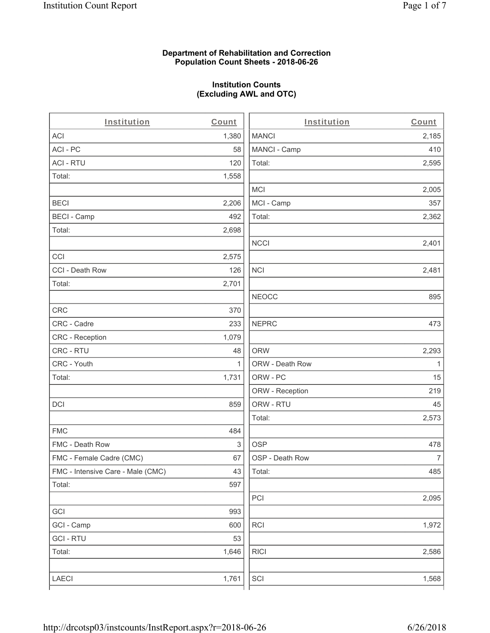### **Department of Rehabilitation and Correction Population Count Sheets - 2018-06-26**

## **Institution Counts (Excluding AWL and OTC)**

| Institution                       | Count        | Institution     | Count        |
|-----------------------------------|--------------|-----------------|--------------|
| ACI                               | 1,380        | <b>MANCI</b>    | 2,185        |
| ACI - PC                          | 58           | MANCI - Camp    | 410          |
| <b>ACI - RTU</b>                  | 120          | Total:          | 2,595        |
| Total:                            | 1,558        |                 |              |
|                                   |              | <b>MCI</b>      | 2,005        |
| <b>BECI</b>                       | 2,206        | MCI - Camp      | 357          |
| <b>BECI - Camp</b>                | 492          | Total:          | 2,362        |
| Total:                            | 2,698        |                 |              |
|                                   |              | <b>NCCI</b>     | 2,401        |
| CCI                               | 2,575        |                 |              |
| CCI - Death Row                   | 126          | <b>NCI</b>      | 2,481        |
| Total:                            | 2,701        |                 |              |
|                                   |              | <b>NEOCC</b>    | 895          |
| CRC                               | 370          |                 |              |
| CRC - Cadre                       | 233          | <b>NEPRC</b>    | 473          |
| CRC - Reception                   | 1,079        |                 |              |
| CRC - RTU                         | 48           | <b>ORW</b>      | 2,293        |
| CRC - Youth                       | $\mathbf{1}$ | ORW - Death Row | $\mathbf{1}$ |
| Total:                            | 1,731        | ORW - PC        | 15           |
|                                   |              | ORW - Reception | 219          |
| DCI                               | 859          | ORW - RTU       | 45           |
|                                   |              | Total:          | 2,573        |
| <b>FMC</b>                        | 484          |                 |              |
| FMC - Death Row                   | 3            | <b>OSP</b>      | 478          |
| FMC - Female Cadre (CMC)          | 67           | OSP - Death Row | 7            |
| FMC - Intensive Care - Male (CMC) | 43           | Total:          | 485          |
| Total:                            | 597          |                 |              |
|                                   |              | PCI             | 2,095        |
| GCI                               | 993          |                 |              |
| GCI - Camp                        | 600          | <b>RCI</b>      | 1,972        |
| <b>GCI - RTU</b>                  | 53           |                 |              |
| Total:                            | 1,646        | <b>RICI</b>     | 2,586        |
|                                   |              |                 |              |
| LAECI                             | 1,761        | SCI             | 1,568        |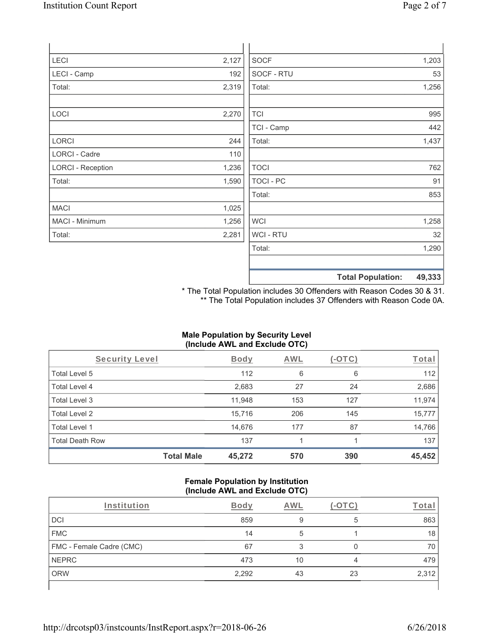| LECI                     | 2,127 | <b>SOCF</b> | 1,203 |
|--------------------------|-------|-------------|-------|
| LECI - Camp              | 192   | SOCF - RTU  | 53    |
| Total:                   | 2,319 | Total:      | 1,256 |
| LOCI                     | 2,270 | <b>TCI</b>  | 995   |
|                          |       | TCI - Camp  | 442   |
| <b>LORCI</b>             | 244   | Total:      | 1,437 |
| LORCI - Cadre            | 110   |             |       |
| <b>LORCI - Reception</b> | 1,236 | <b>TOCI</b> | 762   |
| Total:                   | 1,590 | TOCI - PC   | 91    |
|                          |       | Total:      | 853   |
| <b>MACI</b>              | 1,025 |             |       |
| MACI - Minimum           | 1,256 | <b>WCI</b>  | 1,258 |
| Total:                   | 2,281 | WCI - RTU   | 32    |
|                          |       | Total:      | 1,290 |
|                          |       |             |       |

**Total Population: 49,333** \* The Total Population includes 30 Offenders with Reason Codes 30 & 31.

\*\* The Total Population includes 37 Offenders with Reason Code 0A.

### **Male Population by Security Level (Include AWL and Exclude OTC)**

| Security Level         |                   | <b>Body</b> | AWL | $(-OTC)$ | Total  |
|------------------------|-------------------|-------------|-----|----------|--------|
| Total Level 5          |                   | 112         | 6   | 6        | 112    |
| Total Level 4          |                   | 2,683       | 27  | 24       | 2,686  |
| Total Level 3          |                   | 11,948      | 153 | 127      | 11,974 |
| Total Level 2          |                   | 15,716      | 206 | 145      | 15,777 |
| Total Level 1          |                   | 14,676      | 177 | 87       | 14,766 |
| <b>Total Death Row</b> |                   | 137         |     |          | 137    |
|                        | <b>Total Male</b> | 45,272      | 570 | 390      | 45,452 |

#### **Female Population by Institution (Include AWL and Exclude OTC)**

| Institution              | <b>Body</b> | AWI |    | <u>rota</u> |
|--------------------------|-------------|-----|----|-------------|
| DCI                      | 859         | 9   | 5  | 863         |
| <b>FMC</b>               | 14          | 5   |    | 18          |
| FMC - Female Cadre (CMC) | 67          |     |    | 70          |
| <b>NEPRC</b>             | 473         | 10  |    | 479         |
| <b>ORW</b>               | 2,292       | 43  | 23 | 2,312       |
|                          |             |     |    |             |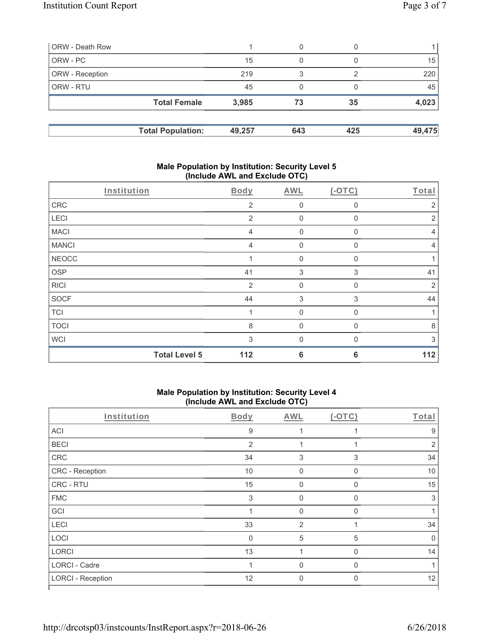| ORW - Death Row        |                          |        | 0   |     |        |
|------------------------|--------------------------|--------|-----|-----|--------|
| ORW - PC               |                          | 15     | 0   |     | 15     |
| <b>ORW</b> - Reception |                          | 219    | 3   |     | 220    |
| <b>ORW - RTU</b>       |                          | 45     | 0   |     | 45     |
|                        | <b>Total Female</b>      | 3,985  | 73  | 35  | 4,023  |
|                        | <b>Total Population:</b> | 49,257 | 643 | 425 | 49,475 |

### **Male Population by Institution: Security Level 5 (Include AWL and Exclude OTC)**

| Institution  |                      | Body           | AWL              | $(-OTC)$     | Total          |
|--------------|----------------------|----------------|------------------|--------------|----------------|
| CRC          |                      | $\overline{2}$ | $\boldsymbol{0}$ | 0            | 2              |
| LECI         |                      | 2              | $\mathbf{0}$     | 0            | 2              |
| <b>MACI</b>  |                      | $\overline{4}$ | $\mathbf 0$      | 0            | $\overline{4}$ |
| <b>MANCI</b> |                      | $\overline{4}$ | $\mathbf{0}$     | 0            | $\overline{4}$ |
| <b>NEOCC</b> |                      |                | $\mathbf 0$      | 0            | 1              |
| <b>OSP</b>   |                      | 41             | 3                | 3            | 41             |
| <b>RICI</b>  |                      | $\overline{2}$ | $\mathbf{0}$     | $\mathbf{0}$ | $\overline{2}$ |
| <b>SOCF</b>  |                      | 44             | 3                | 3            | 44             |
| <b>TCI</b>   |                      |                | $\mathbf 0$      | 0            | 1              |
| <b>TOCI</b>  |                      | 8              | $\mathbf{0}$     | 0            | 8              |
| <b>WCI</b>   |                      | 3              | $\Omega$         |              | 3              |
|              | <b>Total Level 5</b> | 112            | 6                | 6            | 112            |

# **Male Population by Institution: Security Level 4 (Include AWL and Exclude OTC)**

| Institution              | Body           | AWL            | $(-OTC)$     | Total |
|--------------------------|----------------|----------------|--------------|-------|
| ACI                      | $\overline{9}$ |                |              | 9     |
| <b>BECI</b>              | $\overline{2}$ |                |              | 2     |
| CRC                      | 34             | 3              | 3            | 34    |
| CRC - Reception          | 10             | $\mathbf 0$    | 0            | 10    |
| CRC - RTU                | 15             | $\Omega$       | $\Omega$     | 15    |
| <b>FMC</b>               | 3              | $\Omega$       | $\mathbf{0}$ | 3     |
| GCI                      |                | $\Omega$       | $\Omega$     |       |
| LECI                     | 33             | $\overline{2}$ |              | 34    |
| LOCI                     | $\mathbf 0$    | $\sqrt{5}$     | 5            | 0     |
| LORCI                    | 13             |                | $\mathbf{0}$ | 14    |
| <b>LORCI - Cadre</b>     |                | $\Omega$       | $\Omega$     |       |
| <b>LORCI - Reception</b> | 12             | $\Omega$       | $\mathbf{0}$ | 12    |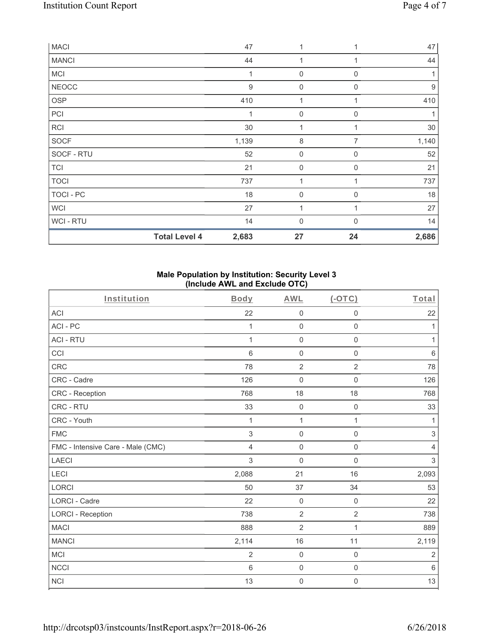| <b>MACI</b>  |                      | 47             | 1                   |                  | 47               |
|--------------|----------------------|----------------|---------------------|------------------|------------------|
| <b>MANCI</b> |                      | 44             | 1                   |                  | 44               |
| <b>MCI</b>   |                      | 1              | $\boldsymbol{0}$    | 0                |                  |
| <b>NEOCC</b> |                      | $\overline{9}$ | $\boldsymbol{0}$    | $\Omega$         | $\boldsymbol{9}$ |
| <b>OSP</b>   |                      | 410            |                     |                  | 410              |
| PCI          |                      | 1              | $\boldsymbol{0}$    | $\mathbf 0$      | 1                |
| <b>RCI</b>   |                      | 30             | 1                   |                  | 30               |
| SOCF         |                      | 1,139          | $\,8\,$             | 7                | 1,140            |
| SOCF - RTU   |                      | 52             | $\mathsf{O}\xspace$ | $\boldsymbol{0}$ | 52               |
| <b>TCI</b>   |                      | 21             | $\mathsf{O}\xspace$ | $\mathbf 0$      | 21               |
| <b>TOCI</b>  |                      | 737            | $\overline{1}$      |                  | 737              |
| TOCI - PC    |                      | 18             | $\boldsymbol{0}$    | $\mathbf 0$      | 18               |
| WCI          |                      | 27             | 1                   |                  | 27               |
| WCI - RTU    |                      | 14             | 0                   | $\Omega$         | 14               |
|              | <b>Total Level 4</b> | 2,683          | 27                  | 24               | 2,686            |

### **Male Population by Institution: Security Level 3 (Include AWL and Exclude OTC)**

| Institution                       | Body           | <b>AWL</b>          | $($ -OTC $)$        | Total          |
|-----------------------------------|----------------|---------------------|---------------------|----------------|
| ACI                               | 22             | $\mathbf 0$         | $\mathsf{O}\xspace$ | 22             |
| ACI-PC                            | 1              | $\mathsf{O}\xspace$ | 0                   | 1              |
| <b>ACI - RTU</b>                  | $\mathbf{1}$   | $\mathsf{O}\xspace$ | $\mathsf 0$         | 1              |
| CCI                               | 6              | $\mathsf{O}\xspace$ | $\mathsf{O}\xspace$ | $\,6\,$        |
| CRC                               | 78             | $\sqrt{2}$          | $\overline{2}$      | 78             |
| CRC - Cadre                       | 126            | $\mathsf{O}\xspace$ | $\mathbf 0$         | 126            |
| CRC - Reception                   | 768            | 18                  | 18                  | 768            |
| CRC - RTU                         | 33             | $\mathsf{O}\xspace$ | $\mathsf 0$         | 33             |
| CRC - Youth                       | 1              | $\mathbf{1}$        | 1                   | 1              |
| <b>FMC</b>                        | 3              | $\mathsf{O}\xspace$ | $\mathbf 0$         | $\sqrt{3}$     |
| FMC - Intensive Care - Male (CMC) | 4              | $\mathsf 0$         | $\mathsf{O}\xspace$ | $\overline{4}$ |
| <b>LAECI</b>                      | 3              | $\mathbf 0$         | 0                   | $\mathfrak{S}$ |
| LECI                              | 2,088          | 21                  | 16                  | 2,093          |
| <b>LORCI</b>                      | 50             | 37                  | 34                  | 53             |
| <b>LORCI - Cadre</b>              | 22             | $\mathsf{O}\xspace$ | $\mathsf 0$         | 22             |
| <b>LORCI - Reception</b>          | 738            | $\overline{2}$      | $\overline{2}$      | 738            |
| <b>MACI</b>                       | 888            | $\overline{2}$      | 1                   | 889            |
| <b>MANCI</b>                      | 2,114          | 16                  | 11                  | 2,119          |
| <b>MCI</b>                        | $\overline{2}$ | $\mathsf{O}\xspace$ | $\mathsf{O}\xspace$ | $\overline{2}$ |
| <b>NCCI</b>                       | $6\,$          | $\mathsf{O}\xspace$ | $\mathsf{O}\xspace$ | $\,6\,$        |
| <b>NCI</b>                        | 13             | $\mathsf{O}\xspace$ | $\boldsymbol{0}$    | 13             |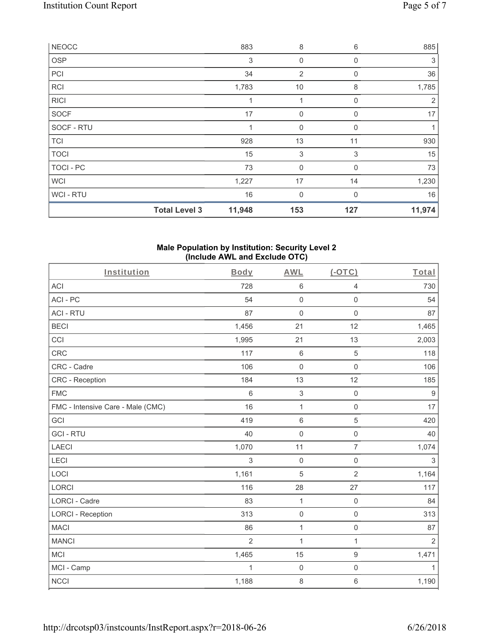| WCI-RTU      | <b>Total Level 3</b> | 16<br>11,948 | 0<br>153       | $\Omega$<br>127 | 16<br>11,974   |
|--------------|----------------------|--------------|----------------|-----------------|----------------|
| <b>WCI</b>   |                      | 1,227        | 17             | 14              | 1,230          |
| TOCI - PC    |                      | 73           | $\mathbf 0$    | $\Omega$        | 73             |
| <b>TOCI</b>  |                      | 15           | 3              | 3               | 15             |
| <b>TCI</b>   |                      | 928          | 13             | 11              | 930            |
| SOCF - RTU   |                      |              | 0              | 0               | 1              |
| <b>SOCF</b>  |                      | 17           | 0              | $\mathbf 0$     | 17             |
| <b>RICI</b>  |                      |              | 1              | $\Omega$        | $\overline{2}$ |
| <b>RCI</b>   |                      | 1,783        | 10             | 8               | 1,785          |
| PCI          |                      | 34           | $\overline{2}$ | $\Omega$        | 36             |
| <b>OSP</b>   |                      | 3            | 0              | $\Omega$        | 3              |
| <b>NEOCC</b> |                      | 883          | 8              | 6               | 885            |

#### **Male Population by Institution: Security Level 2 (Include AWL and Exclude OTC)**

| Institution                       | Body           | <b>AWL</b>   | $(-OTC)$            | Total            |
|-----------------------------------|----------------|--------------|---------------------|------------------|
| <b>ACI</b>                        | 728            | $\,6\,$      | $\overline{4}$      | 730              |
| ACI-PC                            | 54             | $\mathbf 0$  | $\mathsf 0$         | 54               |
| <b>ACI - RTU</b>                  | 87             | $\mathbf 0$  | $\mathbf 0$         | 87               |
| <b>BECI</b>                       | 1,456          | 21           | 12                  | 1,465            |
| CCI                               | 1,995          | 21           | 13                  | 2,003            |
| <b>CRC</b>                        | 117            | $6\,$        | $\sqrt{5}$          | 118              |
| CRC - Cadre                       | 106            | $\mathbf 0$  | $\mathsf 0$         | 106              |
| CRC - Reception                   | 184            | 13           | 12                  | 185              |
| <b>FMC</b>                        | 6              | $\mathbf{3}$ | $\mathsf{O}\xspace$ | $\boldsymbol{9}$ |
| FMC - Intensive Care - Male (CMC) | 16             | 1            | $\mathsf 0$         | 17               |
| GCI                               | 419            | $6\,$        | $\sqrt{5}$          | 420              |
| <b>GCI-RTU</b>                    | 40             | $\mathbf 0$  | $\mathsf{O}\xspace$ | 40               |
| <b>LAECI</b>                      | 1,070          | 11           | $\overline{7}$      | 1,074            |
| LECI                              | 3              | $\mathbf 0$  | $\mathsf{O}\xspace$ | $\sqrt{3}$       |
| LOCI                              | 1,161          | 5            | $\overline{2}$      | 1,164            |
| LORCI                             | 116            | 28           | 27                  | 117              |
| <b>LORCI - Cadre</b>              | 83             | 1            | $\mathsf 0$         | 84               |
| <b>LORCI - Reception</b>          | 313            | $\mathbf 0$  | $\mathsf{O}\xspace$ | 313              |
| <b>MACI</b>                       | 86             | 1            | $\mathbf 0$         | 87               |
| <b>MANCI</b>                      | $\overline{2}$ | $\mathbf{1}$ | $\mathbf{1}$        | $\overline{2}$   |
| <b>MCI</b>                        | 1,465          | 15           | $\boldsymbol{9}$    | 1,471            |
| MCI - Camp                        | $\mathbf{1}$   | $\mathbf 0$  | $\mathsf 0$         | 1                |
| <b>NCCI</b>                       | 1,188          | $\,8\,$      | $\,6\,$             | 1,190            |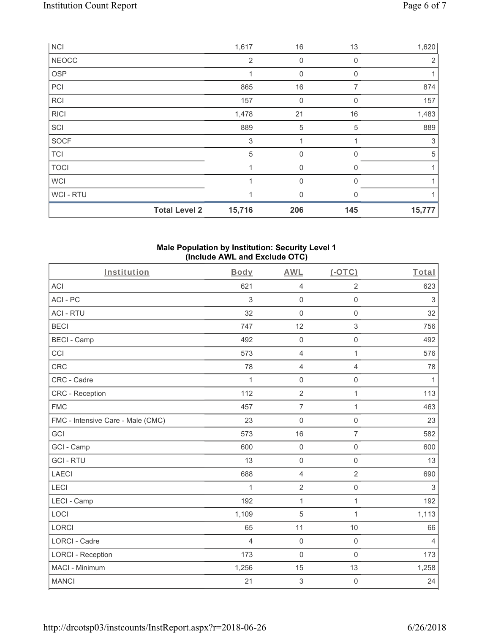|              | <b>Total Level 2</b> | 15,716         | 206         | 145          | 15,777 |
|--------------|----------------------|----------------|-------------|--------------|--------|
| WCI - RTU    |                      |                | $\mathbf 0$ | $\Omega$     |        |
| <b>WCI</b>   |                      |                | $\mathbf 0$ | $\Omega$     |        |
| <b>TOCI</b>  |                      |                | $\mathbf 0$ | $\mathbf{0}$ |        |
| <b>TCI</b>   |                      | 5              | $\mathbf 0$ | 0            | 5      |
| <b>SOCF</b>  |                      | 3              |             |              | 3      |
| SCI          |                      | 889            | $\sqrt{5}$  | 5            | 889    |
| <b>RICI</b>  |                      | 1,478          | 21          | 16           | 1,483  |
| <b>RCI</b>   |                      | 157            | 0           | $\Omega$     | 157    |
| PCI          |                      | 865            | 16          | 7            | 874    |
| <b>OSP</b>   |                      | 1              | $\mathbf 0$ | $\mathbf{0}$ |        |
| <b>NEOCC</b> |                      | $\overline{2}$ | 0           | 0            | 2      |
| <b>NCI</b>   |                      | 1,617          | 16          | 13           | 1,620  |

#### **Male Population by Institution: Security Level 1 (Include AWL and Exclude OTC)**

| Institution                       | Body           | <b>AWL</b>          | $(-OTC)$            | Total          |
|-----------------------------------|----------------|---------------------|---------------------|----------------|
| <b>ACI</b>                        | 621            | $\overline{4}$      | $\overline{2}$      | 623            |
| ACI-PC                            | 3              | $\mathbf 0$         | $\mathsf 0$         | $\sqrt{3}$     |
| <b>ACI - RTU</b>                  | 32             | $\mathbf 0$         | $\mathsf 0$         | 32             |
| <b>BECI</b>                       | 747            | 12                  | $\mathfrak{S}$      | 756            |
| <b>BECI - Camp</b>                | 492            | $\mathbf 0$         | $\mathsf 0$         | 492            |
| CCI                               | 573            | $\overline{4}$      | $\mathbf{1}$        | 576            |
| CRC                               | 78             | $\overline{4}$      | $\overline{4}$      | 78             |
| CRC - Cadre                       | $\mathbf{1}$   | $\mathbf 0$         | $\mathsf 0$         | $\mathbf{1}$   |
| CRC - Reception                   | 112            | $\overline{2}$      | $\mathbf{1}$        | 113            |
| <b>FMC</b>                        | 457            | $\overline{7}$      | $\mathbf{1}$        | 463            |
| FMC - Intensive Care - Male (CMC) | 23             | $\mathsf{O}\xspace$ | $\mathsf{O}\xspace$ | 23             |
| GCI                               | 573            | 16                  | $\overline{7}$      | 582            |
| GCI - Camp                        | 600            | $\mathbf 0$         | $\mathbf 0$         | 600            |
| <b>GCI-RTU</b>                    | 13             | $\mathsf{O}\xspace$ | $\mathbf 0$         | 13             |
| <b>LAECI</b>                      | 688            | $\overline{4}$      | $\overline{2}$      | 690            |
| LECI                              | 1              | $\overline{2}$      | $\mathsf{O}\xspace$ | $\mathfrak{Z}$ |
| LECI - Camp                       | 192            | $\mathbf{1}$        | $\mathbf{1}$        | 192            |
| LOCI                              | 1,109          | 5                   | $\mathbf{1}$        | 1,113          |
| <b>LORCI</b>                      | 65             | 11                  | 10                  | 66             |
| <b>LORCI - Cadre</b>              | $\overline{4}$ | $\mathbf 0$         | $\mathsf 0$         | $\overline{4}$ |
| <b>LORCI - Reception</b>          | 173            | $\mathbf 0$         | $\mathsf 0$         | 173            |
| MACI - Minimum                    | 1,256          | 15                  | 13                  | 1,258          |
| <b>MANCI</b>                      | 21             | $\mathbf{3}$        | $\mathbf 0$         | 24             |